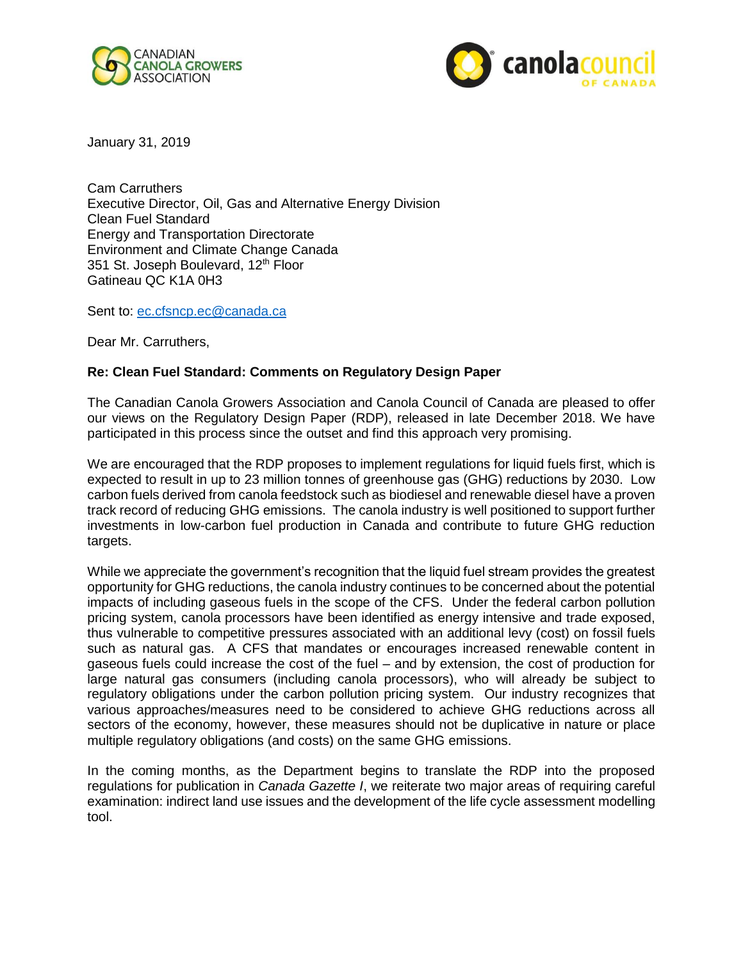



January 31, 2019

Cam Carruthers Executive Director, Oil, Gas and Alternative Energy Division Clean Fuel Standard Energy and Transportation Directorate Environment and Climate Change Canada 351 St. Joseph Boulevard, 12<sup>th</sup> Floor Gatineau QC K1A 0H3

Sent to: [ec.cfsncp.ec@canada.ca](mailto:ec.cfsncp.ec@canada.ca)

Dear Mr. Carruthers,

## **Re: Clean Fuel Standard: Comments on Regulatory Design Paper**

The Canadian Canola Growers Association and Canola Council of Canada are pleased to offer our views on the Regulatory Design Paper (RDP), released in late December 2018. We have participated in this process since the outset and find this approach very promising.

We are encouraged that the RDP proposes to implement regulations for liquid fuels first, which is expected to result in up to 23 million tonnes of greenhouse gas (GHG) reductions by 2030. Low carbon fuels derived from canola feedstock such as biodiesel and renewable diesel have a proven track record of reducing GHG emissions. The canola industry is well positioned to support further investments in low-carbon fuel production in Canada and contribute to future GHG reduction targets.

While we appreciate the government's recognition that the liquid fuel stream provides the greatest opportunity for GHG reductions, the canola industry continues to be concerned about the potential impacts of including gaseous fuels in the scope of the CFS. Under the federal carbon pollution pricing system, canola processors have been identified as energy intensive and trade exposed, thus vulnerable to competitive pressures associated with an additional levy (cost) on fossil fuels such as natural gas. A CFS that mandates or encourages increased renewable content in gaseous fuels could increase the cost of the fuel – and by extension, the cost of production for large natural gas consumers (including canola processors), who will already be subject to regulatory obligations under the carbon pollution pricing system. Our industry recognizes that various approaches/measures need to be considered to achieve GHG reductions across all sectors of the economy, however, these measures should not be duplicative in nature or place multiple regulatory obligations (and costs) on the same GHG emissions.

In the coming months, as the Department begins to translate the RDP into the proposed regulations for publication in *Canada Gazette I*, we reiterate two major areas of requiring careful examination: indirect land use issues and the development of the life cycle assessment modelling tool.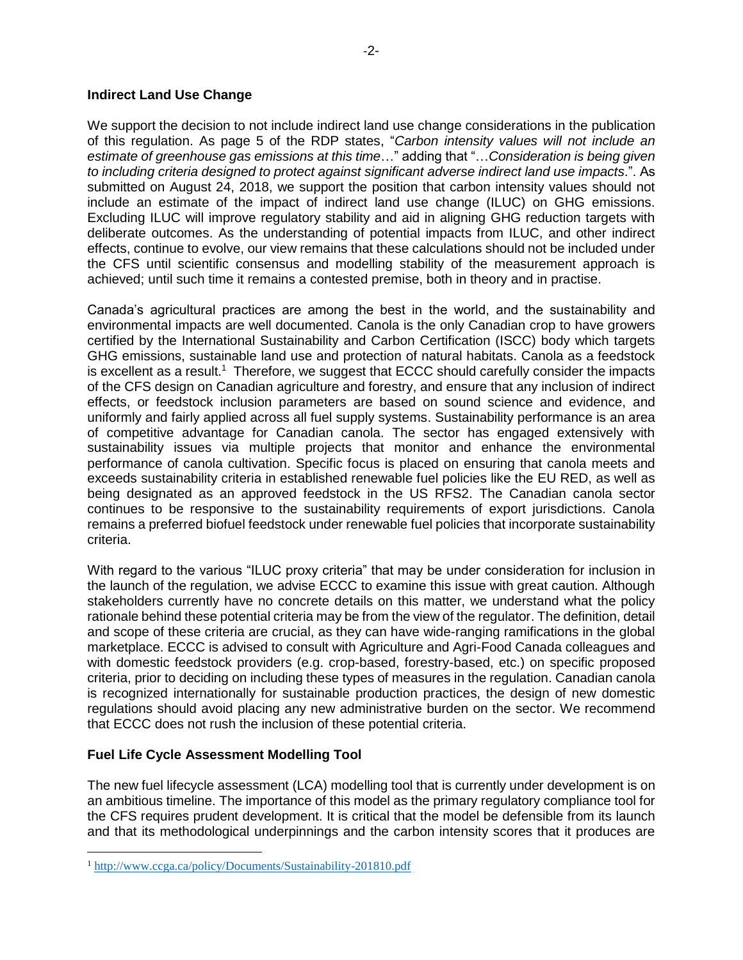## **Indirect Land Use Change**

We support the decision to not include indirect land use change considerations in the publication of this regulation. As page 5 of the RDP states, "*Carbon intensity values will not include an estimate of greenhouse gas emissions at this time*…" adding that "…*Consideration is being given to including criteria designed to protect against significant adverse indirect land use impacts*.". As submitted on August 24, 2018, we support the position that carbon intensity values should not include an estimate of the impact of indirect land use change (ILUC) on GHG emissions. Excluding ILUC will improve regulatory stability and aid in aligning GHG reduction targets with deliberate outcomes. As the understanding of potential impacts from ILUC, and other indirect effects, continue to evolve, our view remains that these calculations should not be included under the CFS until scientific consensus and modelling stability of the measurement approach is achieved; until such time it remains a contested premise, both in theory and in practise.

Canada's agricultural practices are among the best in the world, and the sustainability and environmental impacts are well documented. Canola is the only Canadian crop to have growers certified by the International Sustainability and Carbon Certification (ISCC) body which targets GHG emissions, sustainable land use and protection of natural habitats. Canola as a feedstock is excellent as a result.<sup>1</sup> Therefore, we suggest that ECCC should carefully consider the impacts of the CFS design on Canadian agriculture and forestry, and ensure that any inclusion of indirect effects, or feedstock inclusion parameters are based on sound science and evidence, and uniformly and fairly applied across all fuel supply systems. Sustainability performance is an area of competitive advantage for Canadian canola. The sector has engaged extensively with sustainability issues via multiple projects that monitor and enhance the environmental performance of canola cultivation. Specific focus is placed on ensuring that canola meets and exceeds sustainability criteria in established renewable fuel policies like the EU RED, as well as being designated as an approved feedstock in the US RFS2. The Canadian canola sector continues to be responsive to the sustainability requirements of export jurisdictions. Canola remains a preferred biofuel feedstock under renewable fuel policies that incorporate sustainability criteria.

With regard to the various "ILUC proxy criteria" that may be under consideration for inclusion in the launch of the regulation, we advise ECCC to examine this issue with great caution. Although stakeholders currently have no concrete details on this matter, we understand what the policy rationale behind these potential criteria may be from the view of the regulator. The definition, detail and scope of these criteria are crucial, as they can have wide-ranging ramifications in the global marketplace. ECCC is advised to consult with Agriculture and Agri-Food Canada colleagues and with domestic feedstock providers (e.g. crop-based, forestry-based, etc.) on specific proposed criteria, prior to deciding on including these types of measures in the regulation. Canadian canola is recognized internationally for sustainable production practices, the design of new domestic regulations should avoid placing any new administrative burden on the sector. We recommend that ECCC does not rush the inclusion of these potential criteria.

## **Fuel Life Cycle Assessment Modelling Tool**

 $\overline{\phantom{a}}$ 

The new fuel lifecycle assessment (LCA) modelling tool that is currently under development is on an ambitious timeline. The importance of this model as the primary regulatory compliance tool for the CFS requires prudent development. It is critical that the model be defensible from its launch and that its methodological underpinnings and the carbon intensity scores that it produces are

<sup>1</sup> <http://www.ccga.ca/policy/Documents/Sustainability-201810.pdf>